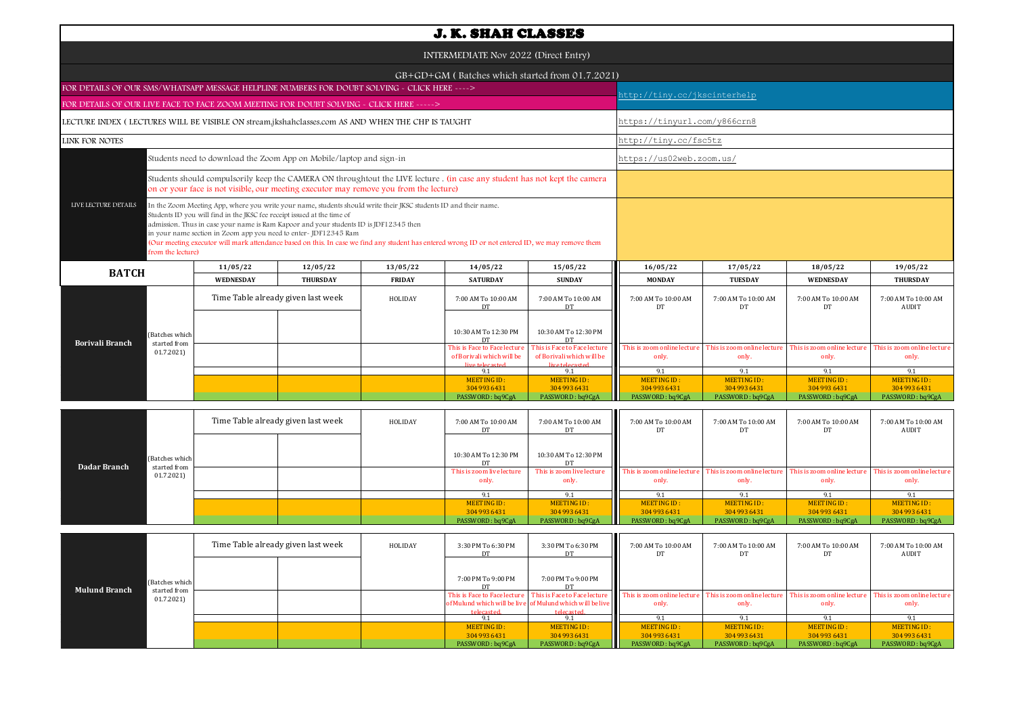|                                                                                                                                                                                                                                                                                                                                                                                                                                                                                                                                                          |                                                                                                                                                                                                                     |                                    |                 |               | <b>J. K. SHAH CLASSES</b>                                                    |                                                                              |                                                               |                                                               |                                                               |                                                               |  |
|----------------------------------------------------------------------------------------------------------------------------------------------------------------------------------------------------------------------------------------------------------------------------------------------------------------------------------------------------------------------------------------------------------------------------------------------------------------------------------------------------------------------------------------------------------|---------------------------------------------------------------------------------------------------------------------------------------------------------------------------------------------------------------------|------------------------------------|-----------------|---------------|------------------------------------------------------------------------------|------------------------------------------------------------------------------|---------------------------------------------------------------|---------------------------------------------------------------|---------------------------------------------------------------|---------------------------------------------------------------|--|
| INTERMEDIATE Nov 2022 (Direct Entry)                                                                                                                                                                                                                                                                                                                                                                                                                                                                                                                     |                                                                                                                                                                                                                     |                                    |                 |               |                                                                              |                                                                              |                                                               |                                                               |                                                               |                                                               |  |
|                                                                                                                                                                                                                                                                                                                                                                                                                                                                                                                                                          |                                                                                                                                                                                                                     |                                    |                 |               | GB+GD+GM (Batches which started from 01.7.2021)                              |                                                                              |                                                               |                                                               |                                                               |                                                               |  |
| FOR DETAILS OF OUR SMS/WHATSAPP MESSAGE HELPLINE NUMBERS FOR DOUBT SOLVING - CLICK HERE ---->                                                                                                                                                                                                                                                                                                                                                                                                                                                            |                                                                                                                                                                                                                     |                                    |                 |               |                                                                              |                                                                              | http://tiny.cc/jkscinterhelp                                  |                                                               |                                                               |                                                               |  |
| FOR DETAILS OF OUR LIVE FACE TO FACE ZOOM MEETING FOR DOUBT SOLVING - CLICK HERE ----->                                                                                                                                                                                                                                                                                                                                                                                                                                                                  |                                                                                                                                                                                                                     |                                    |                 |               |                                                                              |                                                                              |                                                               |                                                               |                                                               |                                                               |  |
| LECTURE INDEX (LECTURES WILL BE VISIBLE ON stream.jkshahclasses.com AS AND WHEN THE CHP IS TAUGHT                                                                                                                                                                                                                                                                                                                                                                                                                                                        |                                                                                                                                                                                                                     |                                    |                 |               |                                                                              |                                                                              | https://tinyurl.com/y866crn8                                  |                                                               |                                                               |                                                               |  |
| <b>LINK FOR NOTES</b>                                                                                                                                                                                                                                                                                                                                                                                                                                                                                                                                    |                                                                                                                                                                                                                     |                                    |                 |               |                                                                              |                                                                              |                                                               | http://tiny.cc/fsc5tz                                         |                                                               |                                                               |  |
| Students need to download the Zoom App on Mobile/laptop and sign-in                                                                                                                                                                                                                                                                                                                                                                                                                                                                                      |                                                                                                                                                                                                                     |                                    |                 |               |                                                                              |                                                                              | https://us02web.zoom.us/                                      |                                                               |                                                               |                                                               |  |
|                                                                                                                                                                                                                                                                                                                                                                                                                                                                                                                                                          | Students should compulsorily keep the CAMERA ON throughtout the LIVE lecture. (in case any student has not kept the camera<br>on or your face is not visible, our meeting executor may remove you from the lecture) |                                    |                 |               |                                                                              |                                                                              |                                                               |                                                               |                                                               |                                                               |  |
| LIVE LECTURE DETAILS<br>In the Zoom Meeting App, where you write your name, students should write their JKSC students ID and their name.<br>Students ID you will find in the JKSC fee receipt issued at the time of<br>admission. Thus in case your name is Ram Kapoor and your students ID is JDF12345 then<br>in your name section in Zoom app you need to enter-JDF12345 Ram<br>(Our meeting executor will mark attendance based on this. In case we find any student has entered wrong ID or not entered ID, we may remove them<br>from the lecture) |                                                                                                                                                                                                                     |                                    |                 |               |                                                                              |                                                                              |                                                               |                                                               |                                                               |                                                               |  |
| <b>BATCH</b>                                                                                                                                                                                                                                                                                                                                                                                                                                                                                                                                             |                                                                                                                                                                                                                     | 11/05/22                           | 12/05/22        | 13/05/22      | 14/05/22                                                                     | 15/05/22                                                                     | 16/05/22                                                      | 17/05/22                                                      | 18/05/22                                                      | 19/05/22                                                      |  |
|                                                                                                                                                                                                                                                                                                                                                                                                                                                                                                                                                          |                                                                                                                                                                                                                     | <b>WEDNESDAY</b>                   | <b>THURSDAY</b> | <b>FRIDAY</b> | <b>SATURDAY</b>                                                              | <b>SUNDAY</b>                                                                | <b>MONDAY</b>                                                 | <b>TUESDAY</b>                                                | <b>WEDNESDAY</b>                                              | <b>THURSDAY</b>                                               |  |
|                                                                                                                                                                                                                                                                                                                                                                                                                                                                                                                                                          |                                                                                                                                                                                                                     | Time Table already given last week |                 | HOLIDAY       | 7:00 AM To 10:00 AM<br>DT                                                    | 7:00 AM To 10:00 AM<br>DT                                                    | 7:00 AM To 10:00 AM<br>DT                                     | 7:00 AM To 10:00 AM<br>DT                                     | 7:00 AM To 10:00 AM<br>DT                                     | 7:00 AM To 10:00 AM<br><b>AUDIT</b>                           |  |
| (Batches which<br><b>Borivali Branch</b><br>started from                                                                                                                                                                                                                                                                                                                                                                                                                                                                                                 |                                                                                                                                                                                                                     |                                    |                 |               | 10:30 AM To 12:30 PM<br>DT                                                   | 10:30 AM To 12:30 PM<br>DT                                                   |                                                               |                                                               |                                                               |                                                               |  |
| 01.7.2021                                                                                                                                                                                                                                                                                                                                                                                                                                                                                                                                                |                                                                                                                                                                                                                     |                                    |                 |               | This is Face to Face lecture<br>of Borivali which will be<br>live telecasted | This is Face to Face lecture<br>of Borivali which will be<br>live telecaster | This is zoom online lecture<br>only.                          | This is zoom online lecture<br>only.                          | This is zoom online lecture<br>only.                          | This is zoom online lecture<br>only.                          |  |
|                                                                                                                                                                                                                                                                                                                                                                                                                                                                                                                                                          |                                                                                                                                                                                                                     |                                    |                 |               | 9.1<br>MEETING ID:<br>304 993 6431<br>PASSWORD: bq9CgA                       | 9.1<br>MEETING ID:<br>304 993 6431<br>PASSWORD: bq9CgA                       | 9.1<br><b>MEETING ID:</b><br>304 993 6431<br>PASSWORD: bq9CgA | 9.1<br><b>MEETING ID:</b><br>304 993 6431<br>PASSWORD: bq9CgA | 9.1<br><b>MEETING ID:</b><br>304 993 6431<br>PASSWORD: bq9CgA | 9.1<br><b>MEETING ID:</b><br>304 993 6431<br>PASSWORD: bq9CgA |  |
|                                                                                                                                                                                                                                                                                                                                                                                                                                                                                                                                                          |                                                                                                                                                                                                                     | Time Table already given last week |                 | HOLIDAY       | 7:00 AM To 10:00 AM                                                          | 7:00 AM To 10:00 AM                                                          | 7:00 AM To 10:00 AM                                           | $7.00$ AM $To 10.00$ AM                                       | $7.00$ AM $To 10.00$ AM                                       | $7.00$ AM To $10.00$ AM                                       |  |

| <b>Dadar Branch</b><br>started from |                | Time Table already given last week | HOLIDAY | 7:00 AM To 10:00 AM                | 7:00 AM To 10:00 AM<br>DT          | 7:00 AM To 10:00 AM<br>DT                                                                                                | 7:00 AM To 10:00 AM         | 7:00 AM To 10:00 AM         | 7:00 AM To 10:00 AM<br>AUDIT |
|-------------------------------------|----------------|------------------------------------|---------|------------------------------------|------------------------------------|--------------------------------------------------------------------------------------------------------------------------|-----------------------------|-----------------------------|------------------------------|
|                                     | (Batches which |                                    |         | 10:30 AM To 12:30 PM               | 10:30 AM To 12:30 PM               |                                                                                                                          |                             |                             |                              |
|                                     | 01.7.2021)     |                                    |         | This is zoom live lecture<br>only. | This is zoom live lecture<br>only. | This is zoom online lecture This is zoom online lecture This is zoom online lecture This is zoom online lecture<br>only. | only.                       | only.                       | only.                        |
|                                     |                |                                    |         |                                    |                                    | 9.1                                                                                                                      |                             |                             |                              |
|                                     |                |                                    |         | MEETING ID:<br>304 993 6431        | MEETING ID:<br>304 993 6431        | MEETING ID:<br>304 993 6431                                                                                              | MEETING ID:<br>304 993 6431 | MEETING ID:<br>304 993 6431 | MEETING ID:<br>304 993 6431  |
|                                     |                |                                    |         | PASSWORD: bq9CgA                   | PASSWORD: bq9CgA                   | PASSWORD: bq9CgA                                                                                                         | PASSWORD: bq9CgA            | PASSWORD: bq9CgA            | PASSWORD: bq9CgA             |

| <b>Mulund Branch</b> |                                             | Time Table already given last week |  | HOLIDAY | 3:30 PM To 6:30 PM | Ш<br>3:30 PM To 6:30 PM                                                  | 7:00 AM To 10:00 AM                                                                                                              | 7:00 AM To 10:00 AM | 7:00 AM To 10:00 AM<br>DT            | 7:00 AM To 10:00 AM<br>AUDIT         |
|----------------------|---------------------------------------------|------------------------------------|--|---------|--------------------|--------------------------------------------------------------------------|----------------------------------------------------------------------------------------------------------------------------------|---------------------|--------------------------------------|--------------------------------------|
|                      | (Batches which<br>started from<br>01.7.2021 |                                    |  |         | 7:00 PM To 9:00 PM | 7:00 PM To 9:00 PM                                                       |                                                                                                                                  |                     |                                      |                                      |
|                      |                                             |                                    |  |         | telecasted         | of Mulund which will be live of Mulund which will be live<br>telecasted. | This is Face to Face lecture   This is Face to Face lecture   This is zoom online lecture   This is zoom online lecture<br>only. | only.               | This is zoom online lecture<br>only. | This is zoom online lecture<br>only. |
|                      |                                             |                                    |  |         |                    |                                                                          |                                                                                                                                  |                     |                                      |                                      |
|                      |                                             |                                    |  |         | MEETING ID:        | MEETING ID:                                                              | MEETING ID:                                                                                                                      | MEETING ID:         | MEETING ID:                          | MEETING ID:                          |
|                      |                                             |                                    |  |         | 304 993 6431       | 304 993 6431                                                             | 304 993 6431                                                                                                                     | 304 993 6431        | 304 993 6431                         | 304 993 6431                         |
|                      |                                             |                                    |  |         | PASSWORD: bq9CgA   | PASSWORD: bq9CgA                                                         | PASSWORD: bq9CgA                                                                                                                 | PASSWORD: bq9CgA    | PASSWORD: bq9CgA                     | PASSWORD: bq9CgA                     |